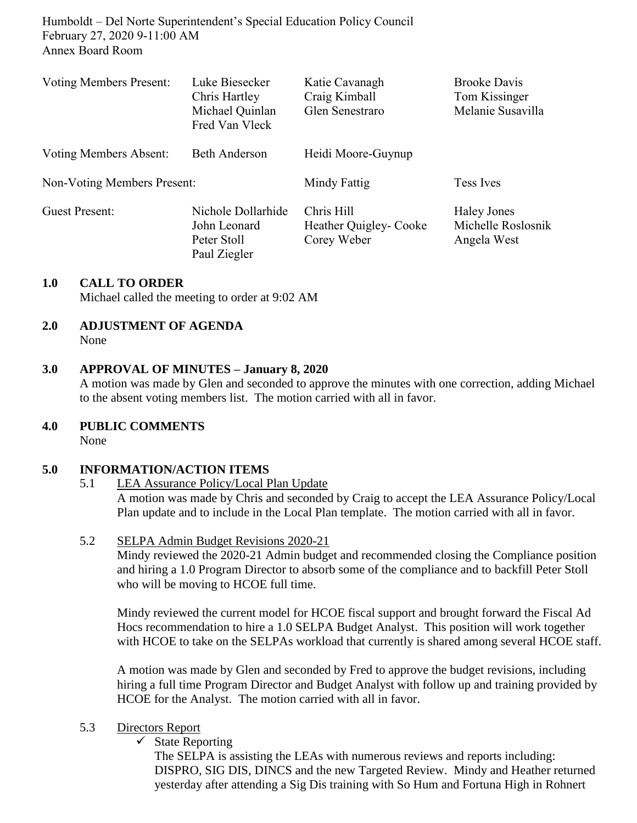Humboldt – Del Norte Superintendent's Special Education Policy Council February 27, 2020 9-11:00 AM Annex Board Room

| <b>Voting Members Present:</b> | Luke Biesecker<br>Chris Hartley<br>Michael Quinlan<br>Fred Van Vleck | Katie Cavanagh<br>Craig Kimball<br>Glen Senestraro  | <b>Brooke Davis</b><br>Tom Kissinger<br>Melanie Susavilla |
|--------------------------------|----------------------------------------------------------------------|-----------------------------------------------------|-----------------------------------------------------------|
| Voting Members Absent:         | <b>Beth Anderson</b>                                                 | Heidi Moore-Guynup                                  |                                                           |
| Non-Voting Members Present:    |                                                                      | Mindy Fattig                                        | Tess Ives                                                 |
| <b>Guest Present:</b>          | Nichole Dollarhide<br>John Leonard<br>Peter Stoll<br>Paul Ziegler    | Chris Hill<br>Heather Quigley- Cooke<br>Corey Weber | <b>Haley Jones</b><br>Michelle Roslosnik<br>Angela West   |

## **1.0 CALL TO ORDER**

Michael called the meeting to order at 9:02 AM

# **2.0 ADJUSTMENT OF AGENDA**

None

## **3.0 APPROVAL OF MINUTES – January 8, 2020**

A motion was made by Glen and seconded to approve the minutes with one correction, adding Michael to the absent voting members list. The motion carried with all in favor.

## **4.0 PUBLIC COMMENTS**

None

## **5.0 INFORMATION/ACTION ITEMS**

5.1 LEA Assurance Policy/Local Plan Update

A motion was made by Chris and seconded by Craig to accept the LEA Assurance Policy/Local Plan update and to include in the Local Plan template. The motion carried with all in favor.

## 5.2 SELPA Admin Budget Revisions 2020-21

Mindy reviewed the 2020-21 Admin budget and recommended closing the Compliance position and hiring a 1.0 Program Director to absorb some of the compliance and to backfill Peter Stoll who will be moving to HCOE full time.

Mindy reviewed the current model for HCOE fiscal support and brought forward the Fiscal Ad Hocs recommendation to hire a 1.0 SELPA Budget Analyst. This position will work together with HCOE to take on the SELPAs workload that currently is shared among several HCOE staff.

A motion was made by Glen and seconded by Fred to approve the budget revisions, including hiring a full time Program Director and Budget Analyst with follow up and training provided by HCOE for the Analyst. The motion carried with all in favor.

## 5.3 Directors Report

 $\checkmark$  State Reporting

The SELPA is assisting the LEAs with numerous reviews and reports including: DISPRO, SIG DIS, DINCS and the new Targeted Review. Mindy and Heather returned yesterday after attending a Sig Dis training with So Hum and Fortuna High in Rohnert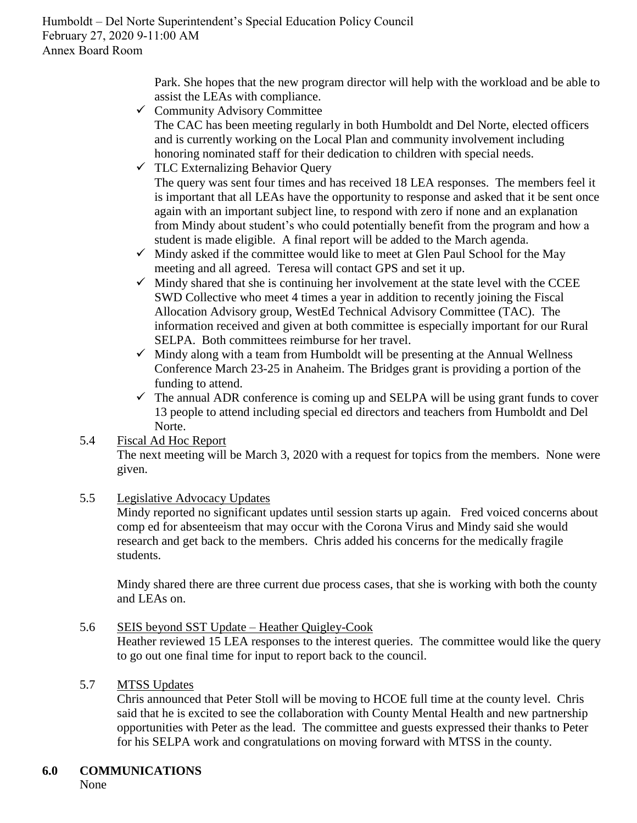Park. She hopes that the new program director will help with the workload and be able to assist the LEAs with compliance.

 $\checkmark$  Community Advisory Committee

The CAC has been meeting regularly in both Humboldt and Del Norte, elected officers and is currently working on the Local Plan and community involvement including honoring nominated staff for their dedication to children with special needs.

 $\checkmark$  TLC Externalizing Behavior Query

The query was sent four times and has received 18 LEA responses. The members feel it is important that all LEAs have the opportunity to response and asked that it be sent once again with an important subject line, to respond with zero if none and an explanation from Mindy about student's who could potentially benefit from the program and how a student is made eligible. A final report will be added to the March agenda.

- $\checkmark$  Mindy asked if the committee would like to meet at Glen Paul School for the May meeting and all agreed. Teresa will contact GPS and set it up.
- $\checkmark$  Mindy shared that she is continuing her involvement at the state level with the CCEE SWD Collective who meet 4 times a year in addition to recently joining the Fiscal Allocation Advisory group, WestEd Technical Advisory Committee (TAC). The information received and given at both committee is especially important for our Rural SELPA. Both committees reimburse for her travel.
- $\checkmark$  Mindy along with a team from Humboldt will be presenting at the Annual Wellness Conference March 23-25 in Anaheim. The Bridges grant is providing a portion of the funding to attend.
- $\checkmark$  The annual ADR conference is coming up and SELPA will be using grant funds to cover 13 people to attend including special ed directors and teachers from Humboldt and Del Norte.
- 5.4 Fiscal Ad Hoc Report The next meeting will be March 3, 2020 with a request for topics from the members. None were given.
- 5.5 Legislative Advocacy Updates

Mindy reported no significant updates until session starts up again. Fred voiced concerns about comp ed for absenteeism that may occur with the Corona Virus and Mindy said she would research and get back to the members. Chris added his concerns for the medically fragile students.

Mindy shared there are three current due process cases, that she is working with both the county and LEAs on.

5.6 SEIS beyond SST Update – Heather Quigley-Cook

Heather reviewed 15 LEA responses to the interest queries. The committee would like the query to go out one final time for input to report back to the council.

## 5.7 MTSS Updates

Chris announced that Peter Stoll will be moving to HCOE full time at the county level. Chris said that he is excited to see the collaboration with County Mental Health and new partnership opportunities with Peter as the lead. The committee and guests expressed their thanks to Peter for his SELPA work and congratulations on moving forward with MTSS in the county.

## **6.0 COMMUNICATIONS**

None